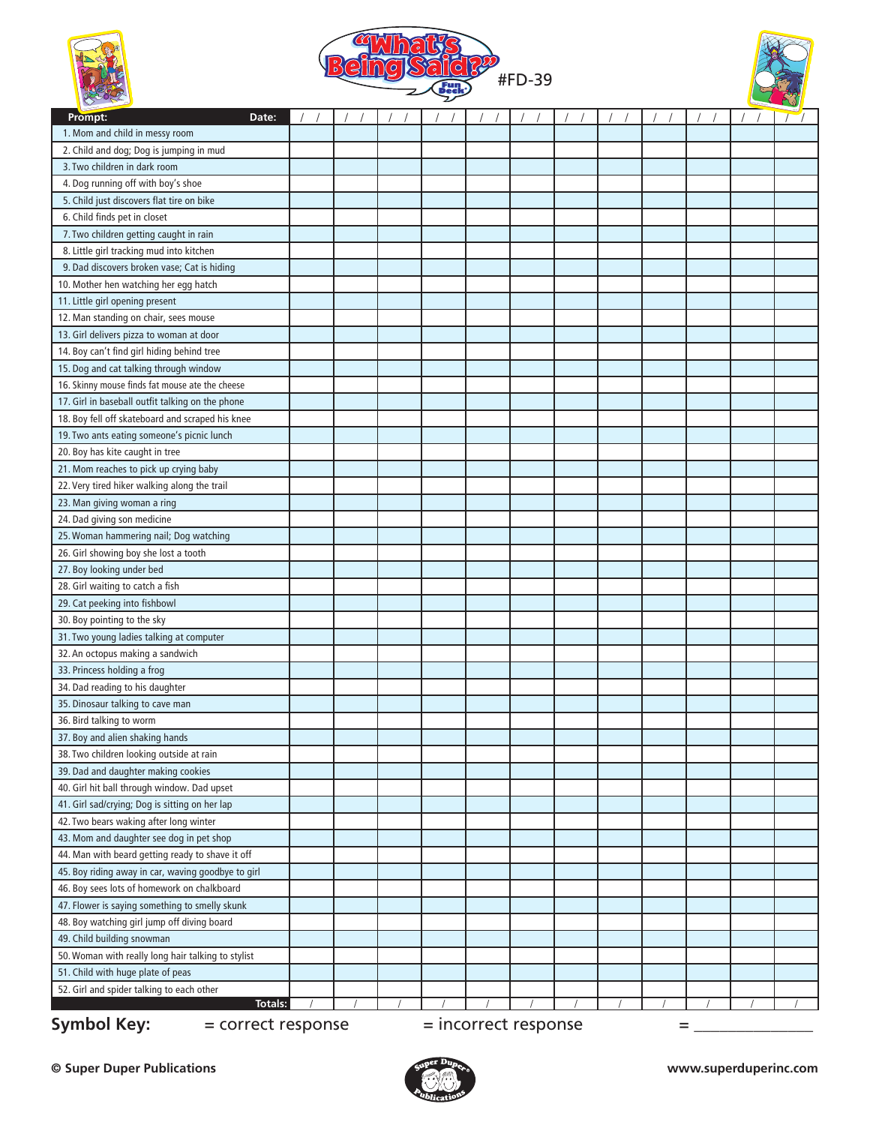





| $\sim$<br>Prompt:<br>Date:                                            |  |  |  |  |  |  |  |  | $\sqrt{ }$ | $\gamma$ |
|-----------------------------------------------------------------------|--|--|--|--|--|--|--|--|------------|----------|
| 1. Mom and child in messy room                                        |  |  |  |  |  |  |  |  |            |          |
| 2. Child and dog; Dog is jumping in mud                               |  |  |  |  |  |  |  |  |            |          |
| 3. Two children in dark room                                          |  |  |  |  |  |  |  |  |            |          |
| 4. Dog running off with boy's shoe                                    |  |  |  |  |  |  |  |  |            |          |
| 5. Child just discovers flat tire on bike                             |  |  |  |  |  |  |  |  |            |          |
| 6. Child finds pet in closet                                          |  |  |  |  |  |  |  |  |            |          |
| 7. Two children getting caught in rain                                |  |  |  |  |  |  |  |  |            |          |
| 8. Little girl tracking mud into kitchen                              |  |  |  |  |  |  |  |  |            |          |
| 9. Dad discovers broken vase; Cat is hiding                           |  |  |  |  |  |  |  |  |            |          |
| 10. Mother hen watching her egg hatch                                 |  |  |  |  |  |  |  |  |            |          |
| 11. Little girl opening present                                       |  |  |  |  |  |  |  |  |            |          |
| 12. Man standing on chair, sees mouse                                 |  |  |  |  |  |  |  |  |            |          |
| 13. Girl delivers pizza to woman at door                              |  |  |  |  |  |  |  |  |            |          |
| 14. Boy can't find girl hiding behind tree                            |  |  |  |  |  |  |  |  |            |          |
| 15. Dog and cat talking through window                                |  |  |  |  |  |  |  |  |            |          |
| 16. Skinny mouse finds fat mouse ate the cheese                       |  |  |  |  |  |  |  |  |            |          |
| 17. Girl in baseball outfit talking on the phone                      |  |  |  |  |  |  |  |  |            |          |
| 18. Boy fell off skateboard and scraped his knee                      |  |  |  |  |  |  |  |  |            |          |
|                                                                       |  |  |  |  |  |  |  |  |            |          |
| 19. Two ants eating someone's picnic lunch                            |  |  |  |  |  |  |  |  |            |          |
| 20. Boy has kite caught in tree                                       |  |  |  |  |  |  |  |  |            |          |
| 21. Mom reaches to pick up crying baby                                |  |  |  |  |  |  |  |  |            |          |
| 22. Very tired hiker walking along the trail                          |  |  |  |  |  |  |  |  |            |          |
| 23. Man giving woman a ring                                           |  |  |  |  |  |  |  |  |            |          |
| 24. Dad giving son medicine                                           |  |  |  |  |  |  |  |  |            |          |
| 25. Woman hammering nail; Dog watching                                |  |  |  |  |  |  |  |  |            |          |
| 26. Girl showing boy she lost a tooth                                 |  |  |  |  |  |  |  |  |            |          |
| 27. Boy looking under bed                                             |  |  |  |  |  |  |  |  |            |          |
| 28. Girl waiting to catch a fish                                      |  |  |  |  |  |  |  |  |            |          |
| 29. Cat peeking into fishbowl                                         |  |  |  |  |  |  |  |  |            |          |
| 30. Boy pointing to the sky                                           |  |  |  |  |  |  |  |  |            |          |
| 31. Two young ladies talking at computer                              |  |  |  |  |  |  |  |  |            |          |
| 32. An octopus making a sandwich                                      |  |  |  |  |  |  |  |  |            |          |
| 33. Princess holding a frog                                           |  |  |  |  |  |  |  |  |            |          |
| 34. Dad reading to his daughter                                       |  |  |  |  |  |  |  |  |            |          |
| 35. Dinosaur talking to cave man                                      |  |  |  |  |  |  |  |  |            |          |
| 36. Bird talking to worm                                              |  |  |  |  |  |  |  |  |            |          |
| 37. Boy and alien shaking hands                                       |  |  |  |  |  |  |  |  |            |          |
| 38. Two children looking outside at rain                              |  |  |  |  |  |  |  |  |            |          |
| 39. Dad and daughter making cookies                                   |  |  |  |  |  |  |  |  |            |          |
| 40. Girl hit ball through window. Dad upset                           |  |  |  |  |  |  |  |  |            |          |
| 41. Girl sad/crying; Dog is sitting on her lap                        |  |  |  |  |  |  |  |  |            |          |
| 42. Two bears waking after long winter                                |  |  |  |  |  |  |  |  |            |          |
| 43. Mom and daughter see dog in pet shop                              |  |  |  |  |  |  |  |  |            |          |
| 44. Man with beard getting ready to shave it off                      |  |  |  |  |  |  |  |  |            |          |
| 45. Boy riding away in car, waving goodbye to girl                    |  |  |  |  |  |  |  |  |            |          |
| 46. Boy sees lots of homework on chalkboard                           |  |  |  |  |  |  |  |  |            |          |
| 47. Flower is saying something to smelly skunk                        |  |  |  |  |  |  |  |  |            |          |
| 48. Boy watching girl jump off diving board                           |  |  |  |  |  |  |  |  |            |          |
| 49. Child building snowman                                            |  |  |  |  |  |  |  |  |            |          |
| 50. Woman with really long hair talking to stylist                    |  |  |  |  |  |  |  |  |            |          |
| 51. Child with huge plate of peas                                     |  |  |  |  |  |  |  |  |            |          |
| 52. Girl and spider talking to each other                             |  |  |  |  |  |  |  |  |            |          |
| Totals:                                                               |  |  |  |  |  |  |  |  |            |          |
| <b>Symbol Key:</b><br>= incorrect response<br>= correct response<br>= |  |  |  |  |  |  |  |  |            |          |